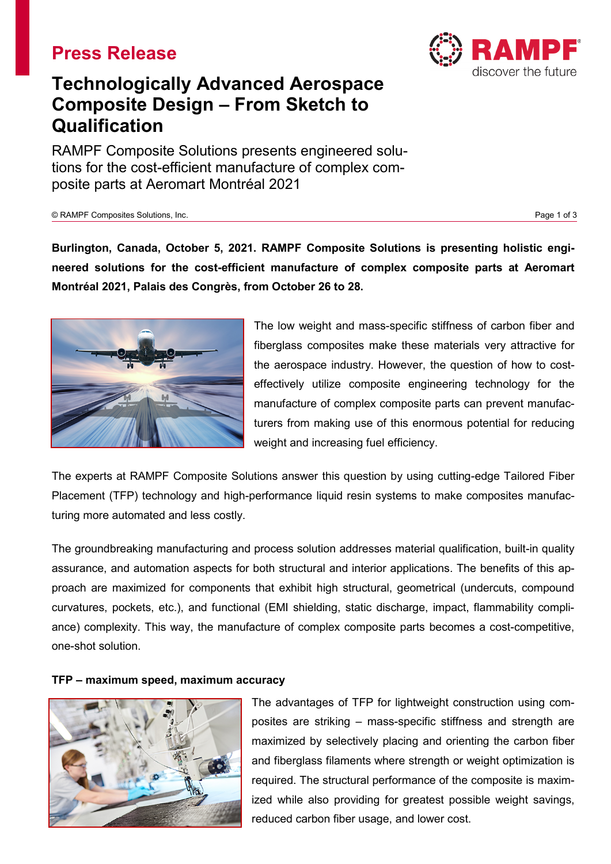## **Press Release**



# **Technologically Advanced Aerospace Composite Design – From Sketch to Qualification**

RAMPF Composite Solutions presents engineered solutions for the cost-efficient manufacture of complex composite parts at Aeromart Montréal 2021

### © RAMPF Composites Solutions, Inc. Page 1 of 3

**Burlington, Canada, October 5, 2021. RAMPF Composite Solutions is presenting holistic engineered solutions for the cost-efficient manufacture of complex composite parts at Aeromart Montréal 2021, Palais des Congrès, from October 26 to 28.**



The low weight and mass-specific stiffness of carbon fiber and fiberglass composites make these materials very attractive for the aerospace industry. However, the question of how to costeffectively utilize composite engineering technology for the manufacture of complex composite parts can prevent manufacturers from making use of this enormous potential for reducing weight and increasing fuel efficiency.

The experts at RAMPF Composite Solutions answer this question by using cutting-edge Tailored Fiber Placement (TFP) technology and high-performance liquid resin systems to make composites manufacturing more automated and less costly.

The groundbreaking manufacturing and process solution addresses material qualification, built-in quality assurance, and automation aspects for both structural and interior applications. The benefits of this approach are maximized for components that exhibit high structural, geometrical (undercuts, compound curvatures, pockets, etc.), and functional (EMI shielding, static discharge, impact, flammability compliance) complexity. This way, the manufacture of complex composite parts becomes a cost-competitive, one-shot solution.

## **TFP – maximum speed, maximum accuracy**



The advantages of TFP for lightweight construction using composites are striking – mass-specific stiffness and strength are maximized by selectively placing and orienting the carbon fiber and fiberglass filaments where strength or weight optimization is required. The structural performance of the composite is maximized while also providing for greatest possible weight savings, reduced carbon fiber usage, and lower cost.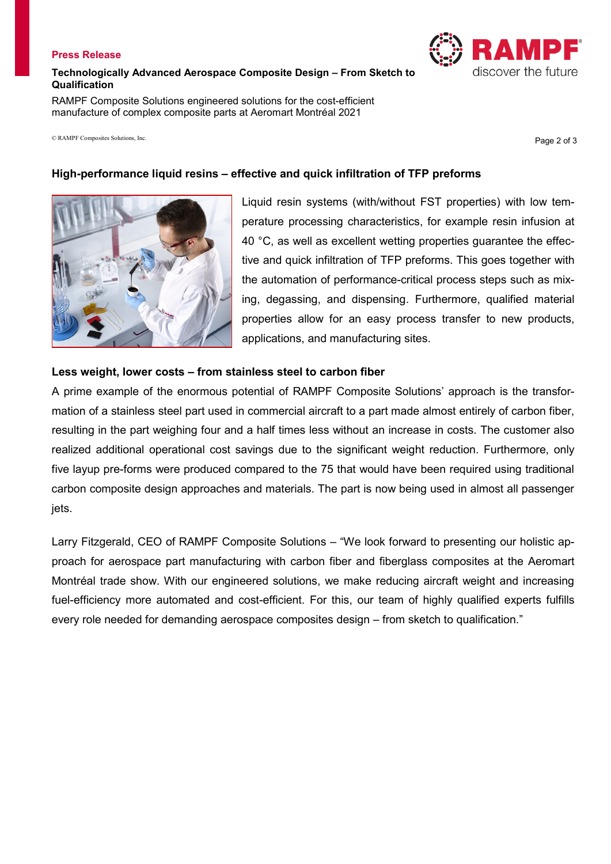### **Press Release**

## **Technologically Advanced Aerospace Composite Design – From Sketch to Qualification**

RAMPF Composite Solutions engineered solutions for the cost-efficient manufacture of complex composite parts at Aeromart Montréal 2021

 $\circ$  RAMPF Composites Solutions, Inc.  $P$  and  $P$  and  $P$  and  $P$  are  $P$  and  $P$  are  $P$  are  $P$  and  $P$  are  $P$  and  $P$  are  $P$  and  $P$  are  $P$  and  $P$  are  $P$  are  $P$  and  $P$  are  $P$  are  $P$  are  $P$  and  $P$  are  $P$  are

## **High-performance liquid resins – effective and quick infiltration of TFP preforms**

Liquid resin systems (with/without FST properties) with low temperature processing characteristics, for example resin infusion at 40 °C, as well as excellent wetting properties guarantee the effective and quick infiltration of TFP preforms. This goes together with the automation of performance-critical process steps such as mixing, degassing, and dispensing. Furthermore, qualified material properties allow for an easy process transfer to new products, applications, and manufacturing sites.

## **Less weight, lower costs – from stainless steel to carbon fiber**

A prime example of the enormous potential of RAMPF Composite Solutions' approach is the transformation of a stainless steel part used in commercial aircraft to a part made almost entirely of carbon fiber, resulting in the part weighing four and a half times less without an increase in costs. The customer also realized additional operational cost savings due to the significant weight reduction. Furthermore, only five layup pre-forms were produced compared to the 75 that would have been required using traditional carbon composite design approaches and materials. The part is now being used in almost all passenger jets.

Larry Fitzgerald, CEO of RAMPF Composite Solutions – "We look forward to presenting our holistic approach for aerospace part manufacturing with carbon fiber and fiberglass composites at the Aeromart Montréal trade show. With our engineered solutions, we make reducing aircraft weight and increasing fuel-efficiency more automated and cost-efficient. For this, our team of highly qualified experts fulfills every role needed for demanding aerospace composites design – from sketch to qualification."